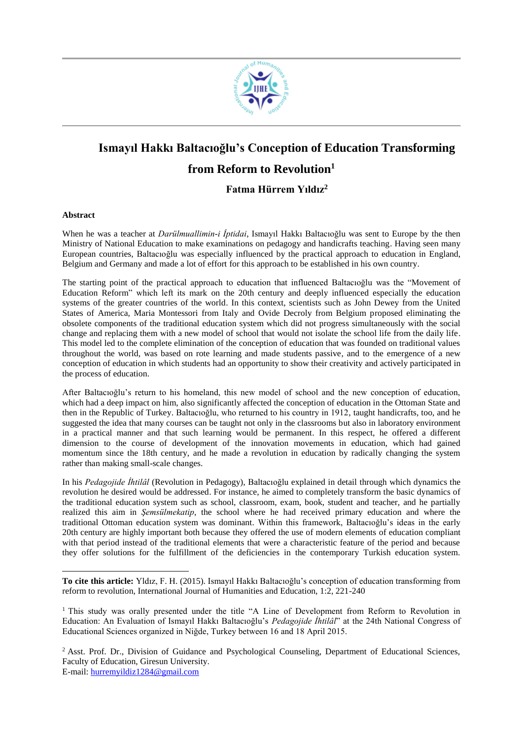

# **Ismayıl Hakkı Baltacıoğlu's Conception of Education Transforming from Reform to Revolution<sup>1</sup>**

**Fatma Hürrem Yıldız<sup>2</sup>**

#### **Abstract**

 $\overline{\phantom{a}}$ 

When he was a teacher at *Darülmuallimin-i İptidai*, Ismayıl Hakkı Baltacıoğlu was sent to Europe by the then Ministry of National Education to make examinations on pedagogy and handicrafts teaching. Having seen many European countries, Baltacıoğlu was especially influenced by the practical approach to education in England, Belgium and Germany and made a lot of effort for this approach to be established in his own country.

The starting point of the practical approach to education that influenced Baltacıoğlu was the "Movement of Education Reform" which left its mark on the 20th century and deeply influenced especially the education systems of the greater countries of the world. In this context, scientists such as John Dewey from the United States of America, Maria Montessori from Italy and Ovide Decroly from Belgium proposed eliminating the obsolete components of the traditional education system which did not progress simultaneously with the social change and replacing them with a new model of school that would not isolate the school life from the daily life. This model led to the complete elimination of the conception of education that was founded on traditional values throughout the world, was based on rote learning and made students passive, and to the emergence of a new conception of education in which students had an opportunity to show their creativity and actively participated in the process of education.

After Baltacıoğlu's return to his homeland, this new model of school and the new conception of education, which had a deep impact on him, also significantly affected the conception of education in the Ottoman State and then in the Republic of Turkey. Baltacıoğlu, who returned to his country in 1912, taught handicrafts, too, and he suggested the idea that many courses can be taught not only in the classrooms but also in laboratory environment in a practical manner and that such learning would be permanent. In this respect, he offered a different dimension to the course of development of the innovation movements in education, which had gained momentum since the 18th century, and he made a revolution in education by radically changing the system rather than making small-scale changes.

In his *Pedagojide İhtilâl* (Revolution in Pedagogy), Baltacıoğlu explained in detail through which dynamics the revolution he desired would be addressed. For instance, he aimed to completely transform the basic dynamics of the traditional education system such as school, classroom, exam, book, student and teacher, and he partially realized this aim in *Şemsülmekatip*, the school where he had received primary education and where the traditional Ottoman education system was dominant. Within this framework, Baltacıoğlu's ideas in the early 20th century are highly important both because they offered the use of modern elements of education compliant with that period instead of the traditional elements that were a characteristic feature of the period and because they offer solutions for the fulfillment of the deficiencies in the contemporary Turkish education system.

**To cite this article:** Yldız, F. H. (2015). Ismayıl Hakkı Baltacıoğlu's conception of education transforming from reform to revolution, International Journal of Humanities and Education, 1:2, 221-240

<sup>&</sup>lt;sup>1</sup> This study was orally presented under the title "A Line of Development from Reform to Revolution in Education: An Evaluation of Ismayıl Hakkı Baltacıoğlu's *Pedagojide İhtilâl*" at the 24th National Congress of Educational Sciences organized in Niğde, Turkey between 16 and 18 April 2015.

<sup>&</sup>lt;sup>2</sup> Asst. Prof. Dr., Division of Guidance and Psychological Counseling, Department of Educational Sciences, Faculty of Education, Giresun University. E-mail: [hurremyildiz1284@gmail.com](mailto:hurremyildiz1284@gmail.com)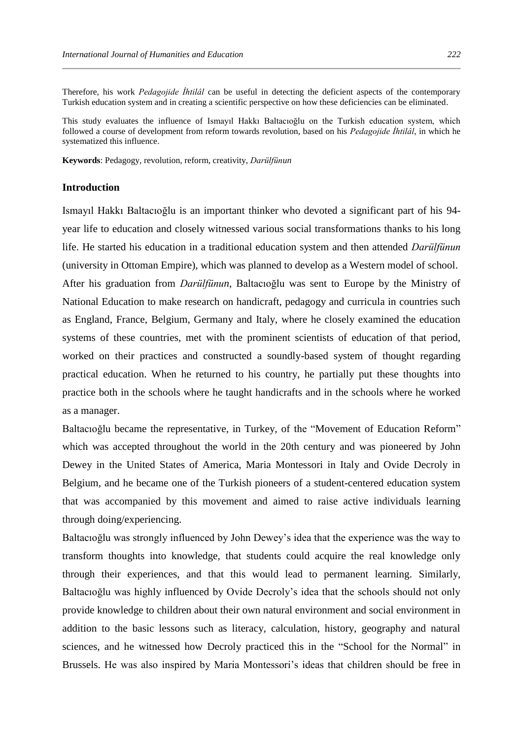Therefore, his work *Pedagojide İhtilâl* can be useful in detecting the deficient aspects of the contemporary Turkish education system and in creating a scientific perspective on how these deficiencies can be eliminated.

This study evaluates the influence of Ismayıl Hakkı Baltacıoğlu on the Turkish education system, which followed a course of development from reform towards revolution, based on his *Pedagojide İhtilâl*, in which he systematized this influence.

**Keywords**: Pedagogy, revolution, reform, creativity, *Darülfünun*

## **Introduction**

Ismayıl Hakkı Baltacıoğlu is an important thinker who devoted a significant part of his 94 year life to education and closely witnessed various social transformations thanks to his long life. He started his education in a traditional education system and then attended *Darülfünun* (university in Ottoman Empire), which was planned to develop as a Western model of school. After his graduation from *Darülfünun*, Baltacıoğlu was sent to Europe by the Ministry of National Education to make research on handicraft, pedagogy and curricula in countries such as England, France, Belgium, Germany and Italy, where he closely examined the education systems of these countries, met with the prominent scientists of education of that period, worked on their practices and constructed a soundly-based system of thought regarding practical education. When he returned to his country, he partially put these thoughts into practice both in the schools where he taught handicrafts and in the schools where he worked as a manager.

Baltacıoğlu became the representative, in Turkey, of the "Movement of Education Reform" which was accepted throughout the world in the 20th century and was pioneered by John Dewey in the United States of America, Maria Montessori in Italy and Ovide Decroly in Belgium, and he became one of the Turkish pioneers of a student-centered education system that was accompanied by this movement and aimed to raise active individuals learning through doing/experiencing.

Baltacıoğlu was strongly influenced by John Dewey's idea that the experience was the way to transform thoughts into knowledge, that students could acquire the real knowledge only through their experiences, and that this would lead to permanent learning. Similarly, Baltacıoğlu was highly influenced by Ovide Decroly's idea that the schools should not only provide knowledge to children about their own natural environment and social environment in addition to the basic lessons such as literacy, calculation, history, geography and natural sciences, and he witnessed how Decroly practiced this in the "School for the Normal" in Brussels. He was also inspired by Maria Montessori's ideas that children should be free in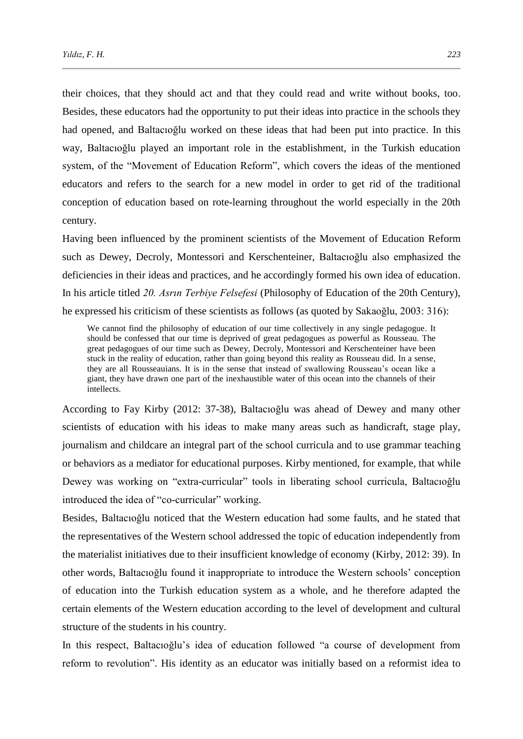their choices, that they should act and that they could read and write without books, too. Besides, these educators had the opportunity to put their ideas into practice in the schools they had opened, and Baltacıoğlu worked on these ideas that had been put into practice. In this way, Baltacıoğlu played an important role in the establishment, in the Turkish education system, of the "Movement of Education Reform", which covers the ideas of the mentioned educators and refers to the search for a new model in order to get rid of the traditional conception of education based on rote-learning throughout the world especially in the 20th century.

Having been influenced by the prominent scientists of the Movement of Education Reform such as Dewey, Decroly, Montessori and Kerschenteiner, Baltacıoğlu also emphasized the deficiencies in their ideas and practices, and he accordingly formed his own idea of education. In his article titled *20. Asrın Terbiye Felsefesi* (Philosophy of Education of the 20th Century), he expressed his criticism of these scientists as follows (as quoted by Sakaoğlu, 2003: 316):

We cannot find the philosophy of education of our time collectively in any single pedagogue. It should be confessed that our time is deprived of great pedagogues as powerful as Rousseau. The great pedagogues of our time such as Dewey, Decroly, Montessori and Kerschenteiner have been stuck in the reality of education, rather than going beyond this reality as Rousseau did. In a sense, they are all Rousseauians. It is in the sense that instead of swallowing Rousseau's ocean like a giant, they have drawn one part of the inexhaustible water of this ocean into the channels of their intellects.

According to Fay Kirby (2012: 37-38), Baltacıoğlu was ahead of Dewey and many other scientists of education with his ideas to make many areas such as handicraft, stage play, journalism and childcare an integral part of the school curricula and to use grammar teaching or behaviors as a mediator for educational purposes. Kirby mentioned, for example, that while Dewey was working on "extra-curricular" tools in liberating school curricula, Baltacıoğlu introduced the idea of "co-curricular" working.

Besides, Baltacıoğlu noticed that the Western education had some faults, and he stated that the representatives of the Western school addressed the topic of education independently from the materialist initiatives due to their insufficient knowledge of economy (Kirby, 2012: 39). In other words, Baltacıoğlu found it inappropriate to introduce the Western schools' conception of education into the Turkish education system as a whole, and he therefore adapted the certain elements of the Western education according to the level of development and cultural structure of the students in his country.

In this respect, Baltacıoğlu's idea of education followed "a course of development from reform to revolution". His identity as an educator was initially based on a reformist idea to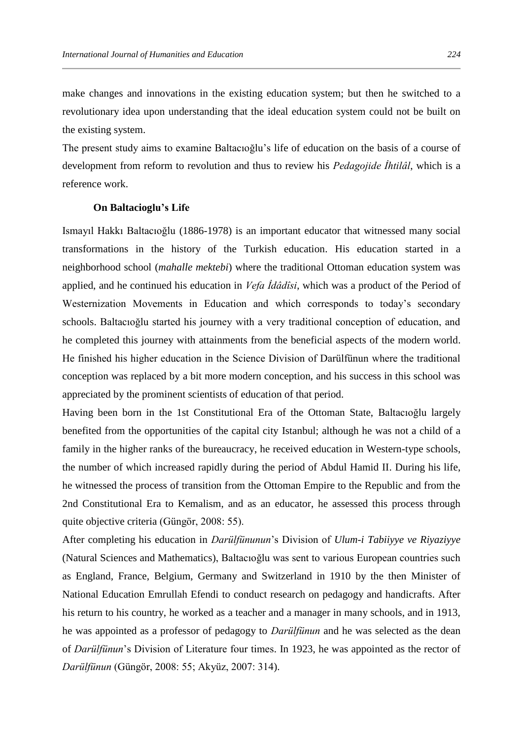make changes and innovations in the existing education system; but then he switched to a revolutionary idea upon understanding that the ideal education system could not be built on the existing system.

The present study aims to examine Baltacıoğlu's life of education on the basis of a course of development from reform to revolution and thus to review his *Pedagojide İhtilâl*, which is a reference work.

## **On Baltacioglu's Life**

Ismayıl Hakkı Baltacıoğlu (1886-1978) is an important educator that witnessed many social transformations in the history of the Turkish education. His education started in a neighborhood school (*mahalle mektebi*) where the traditional Ottoman education system was applied, and he continued his education in *Vefa İdâdîsi*, which was a product of the Period of Westernization Movements in Education and which corresponds to today's secondary schools. Baltacıoğlu started his journey with a very traditional conception of education, and he completed this journey with attainments from the beneficial aspects of the modern world. He finished his higher education in the Science Division of Darülfünun where the traditional conception was replaced by a bit more modern conception, and his success in this school was appreciated by the prominent scientists of education of that period.

Having been born in the 1st Constitutional Era of the Ottoman State, Baltacıoğlu largely benefited from the opportunities of the capital city Istanbul; although he was not a child of a family in the higher ranks of the bureaucracy, he received education in Western-type schools, the number of which increased rapidly during the period of Abdul Hamid II. During his life, he witnessed the process of transition from the Ottoman Empire to the Republic and from the 2nd Constitutional Era to Kemalism, and as an educator, he assessed this process through quite objective criteria (Güngör, 2008: 55).

After completing his education in *Darülfünunun*'s Division of *Ulum-i Tabiiyye ve Riyaziyye* (Natural Sciences and Mathematics), Baltacıoğlu was sent to various European countries such as England, France, Belgium, Germany and Switzerland in 1910 by the then Minister of National Education Emrullah Efendi to conduct research on pedagogy and handicrafts. After his return to his country, he worked as a teacher and a manager in many schools, and in 1913, he was appointed as a professor of pedagogy to *Darülfünun* and he was selected as the dean of *Darülfünun*'s Division of Literature four times. In 1923, he was appointed as the rector of *Darülfünun* (Güngör, 2008: 55; Akyüz, 2007: 314).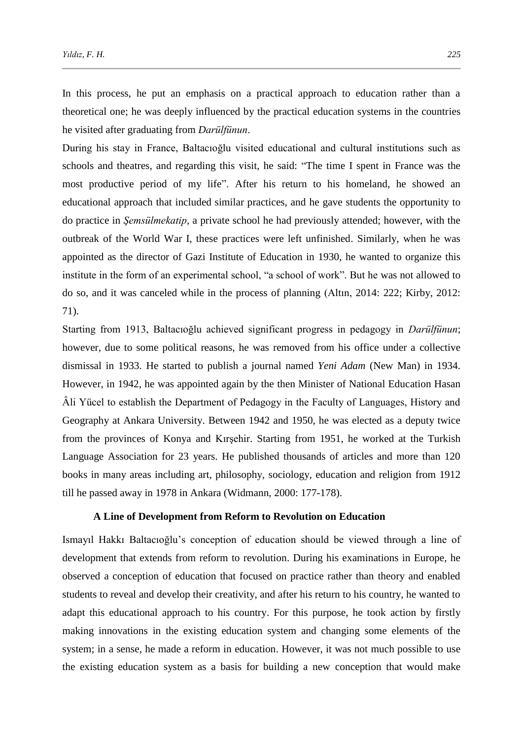In this process, he put an emphasis on a practical approach to education rather than a theoretical one; he was deeply influenced by the practical education systems in the countries he visited after graduating from *Darülfünun*.

During his stay in France, Baltacıoğlu visited educational and cultural institutions such as schools and theatres, and regarding this visit, he said: "The time I spent in France was the most productive period of my life". After his return to his homeland, he showed an educational approach that included similar practices, and he gave students the opportunity to do practice in *Şemsülmekatip*, a private school he had previously attended; however, with the outbreak of the World War I, these practices were left unfinished. Similarly, when he was appointed as the director of Gazi Institute of Education in 1930, he wanted to organize this institute in the form of an experimental school, "a school of work". But he was not allowed to do so, and it was canceled while in the process of planning (Altın, 2014: 222; Kirby, 2012: 71).

Starting from 1913, Baltacıoğlu achieved significant progress in pedagogy in *Darülfünun*; however, due to some political reasons, he was removed from his office under a collective dismissal in 1933. He started to publish a journal named *Yeni Adam* (New Man) in 1934. However, in 1942, he was appointed again by the then Minister of National Education Hasan Ȃli Yücel to establish the Department of Pedagogy in the Faculty of Languages, History and Geography at Ankara University. Between 1942 and 1950, he was elected as a deputy twice from the provinces of Konya and Kırşehir. Starting from 1951, he worked at the Turkish Language Association for 23 years. He published thousands of articles and more than 120 books in many areas including art, philosophy, sociology, education and religion from 1912 till he passed away in 1978 in Ankara (Widmann, 2000: 177-178).

#### **A Line of Development from Reform to Revolution on Education**

Ismayıl Hakkı Baltacıoğlu's conception of education should be viewed through a line of development that extends from reform to revolution. During his examinations in Europe, he observed a conception of education that focused on practice rather than theory and enabled students to reveal and develop their creativity, and after his return to his country, he wanted to adapt this educational approach to his country. For this purpose, he took action by firstly making innovations in the existing education system and changing some elements of the system; in a sense, he made a reform in education. However, it was not much possible to use the existing education system as a basis for building a new conception that would make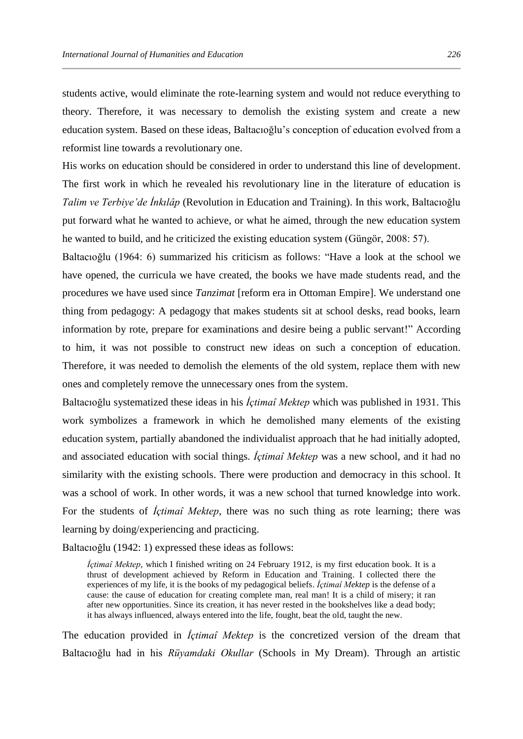students active, would eliminate the rote-learning system and would not reduce everything to theory. Therefore, it was necessary to demolish the existing system and create a new education system. Based on these ideas, Baltacıoğlu's conception of education evolved from a reformist line towards a revolutionary one.

His works on education should be considered in order to understand this line of development. The first work in which he revealed his revolutionary line in the literature of education is *Talim ve Terbiye'de İnkılâp* (Revolution in Education and Training). In this work, Baltacıoğlu put forward what he wanted to achieve, or what he aimed, through the new education system he wanted to build, and he criticized the existing education system (Güngör, 2008: 57).

Baltacıoğlu (1964: 6) summarized his criticism as follows: "Have a look at the school we have opened, the curricula we have created, the books we have made students read, and the procedures we have used since *Tanzimat* [reform era in Ottoman Empire]. We understand one thing from pedagogy: A pedagogy that makes students sit at school desks, read books, learn information by rote, prepare for examinations and desire being a public servant!" According to him, it was not possible to construct new ideas on such a conception of education. Therefore, it was needed to demolish the elements of the old system, replace them with new ones and completely remove the unnecessary ones from the system.

Baltacıoğlu systematized these ideas in his *İçtimaî Mektep* which was published in 1931. This work symbolizes a framework in which he demolished many elements of the existing education system, partially abandoned the individualist approach that he had initially adopted, and associated education with social things. *İçtimaî Mektep* was a new school, and it had no similarity with the existing schools. There were production and democracy in this school. It was a school of work. In other words, it was a new school that turned knowledge into work. For the students of *İçtimaî Mektep*, there was no such thing as rote learning; there was learning by doing/experiencing and practicing.

Baltacıoğlu (1942: 1) expressed these ideas as follows:

*İçtimaî Mektep*, which I finished writing on 24 February 1912, is my first education book. It is a thrust of development achieved by Reform in Education and Training. I collected there the experiences of my life, it is the books of my pedagogical beliefs. *İçtimaî Mektep* is the defense of a cause: the cause of education for creating complete man, real man! It is a child of misery; it ran after new opportunities. Since its creation, it has never rested in the bookshelves like a dead body; it has always influenced, always entered into the life, fought, beat the old, taught the new.

The education provided in *İçtimaî Mektep* is the concretized version of the dream that Baltacıoğlu had in his *Rüyamdaki Okullar* (Schools in My Dream). Through an artistic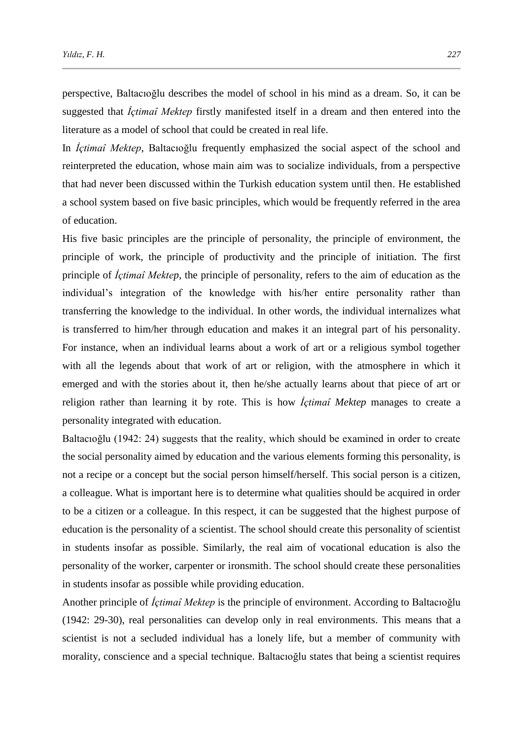perspective, Baltacıoğlu describes the model of school in his mind as a dream. So, it can be suggested that *İçtimaî Mektep* firstly manifested itself in a dream and then entered into the literature as a model of school that could be created in real life.

In *İçtimaî Mektep*, Baltacıoğlu frequently emphasized the social aspect of the school and reinterpreted the education, whose main aim was to socialize individuals, from a perspective that had never been discussed within the Turkish education system until then. He established a school system based on five basic principles, which would be frequently referred in the area of education.

His five basic principles are the principle of personality, the principle of environment, the principle of work, the principle of productivity and the principle of initiation. The first principle of *İçtimaî Mektep*, the principle of personality, refers to the aim of education as the individual's integration of the knowledge with his/her entire personality rather than transferring the knowledge to the individual. In other words, the individual internalizes what is transferred to him/her through education and makes it an integral part of his personality. For instance, when an individual learns about a work of art or a religious symbol together with all the legends about that work of art or religion, with the atmosphere in which it emerged and with the stories about it, then he/she actually learns about that piece of art or religion rather than learning it by rote. This is how *İçtimaî Mektep* manages to create a personality integrated with education.

Baltacıoğlu (1942: 24) suggests that the reality, which should be examined in order to create the social personality aimed by education and the various elements forming this personality, is not a recipe or a concept but the social person himself/herself. This social person is a citizen, a colleague. What is important here is to determine what qualities should be acquired in order to be a citizen or a colleague. In this respect, it can be suggested that the highest purpose of education is the personality of a scientist. The school should create this personality of scientist in students insofar as possible. Similarly, the real aim of vocational education is also the personality of the worker, carpenter or ironsmith. The school should create these personalities in students insofar as possible while providing education.

Another principle of *İçtimaî Mektep* is the principle of environment. According to Baltacıoğlu (1942: 29-30), real personalities can develop only in real environments. This means that a scientist is not a secluded individual has a lonely life, but a member of community with morality, conscience and a special technique. Baltacıoğlu states that being a scientist requires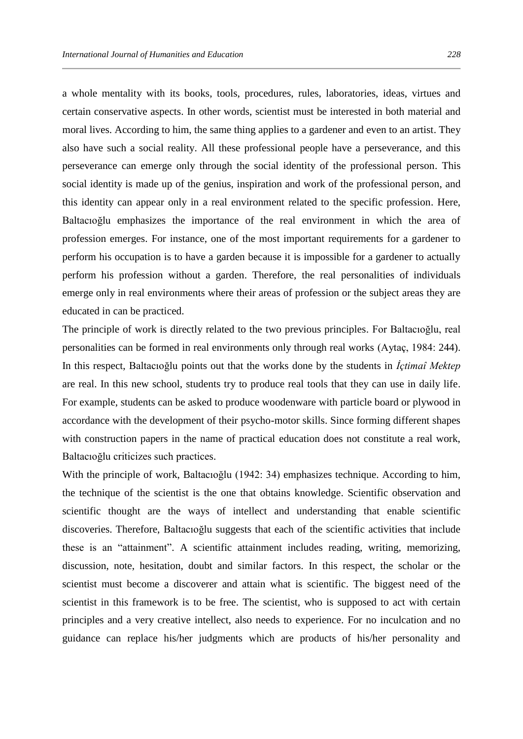a whole mentality with its books, tools, procedures, rules, laboratories, ideas, virtues and certain conservative aspects. In other words, scientist must be interested in both material and moral lives. According to him, the same thing applies to a gardener and even to an artist. They also have such a social reality. All these professional people have a perseverance, and this perseverance can emerge only through the social identity of the professional person. This social identity is made up of the genius, inspiration and work of the professional person, and this identity can appear only in a real environment related to the specific profession. Here, Baltacıoğlu emphasizes the importance of the real environment in which the area of profession emerges. For instance, one of the most important requirements for a gardener to perform his occupation is to have a garden because it is impossible for a gardener to actually perform his profession without a garden. Therefore, the real personalities of individuals emerge only in real environments where their areas of profession or the subject areas they are educated in can be practiced.

The principle of work is directly related to the two previous principles. For Baltacıoğlu, real personalities can be formed in real environments only through real works (Aytaç, 1984: 244). In this respect, Baltacıoğlu points out that the works done by the students in *İçtimaî Mektep* are real. In this new school, students try to produce real tools that they can use in daily life. For example, students can be asked to produce woodenware with particle board or plywood in accordance with the development of their psycho-motor skills. Since forming different shapes with construction papers in the name of practical education does not constitute a real work, Baltacıoğlu criticizes such practices.

With the principle of work, Baltacıoğlu (1942: 34) emphasizes technique. According to him, the technique of the scientist is the one that obtains knowledge. Scientific observation and scientific thought are the ways of intellect and understanding that enable scientific discoveries. Therefore, Baltacıoğlu suggests that each of the scientific activities that include these is an "attainment". A scientific attainment includes reading, writing, memorizing, discussion, note, hesitation, doubt and similar factors. In this respect, the scholar or the scientist must become a discoverer and attain what is scientific. The biggest need of the scientist in this framework is to be free. The scientist, who is supposed to act with certain principles and a very creative intellect, also needs to experience. For no inculcation and no guidance can replace his/her judgments which are products of his/her personality and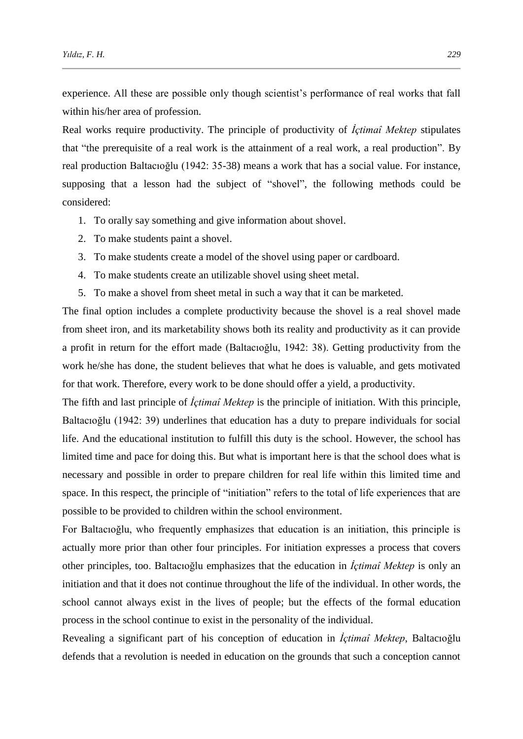experience. All these are possible only though scientist's performance of real works that fall within his/her area of profession.

Real works require productivity. The principle of productivity of *İçtimaî Mektep* stipulates that "the prerequisite of a real work is the attainment of a real work, a real production". By real production Baltacıoğlu (1942: 35-38) means a work that has a social value. For instance, supposing that a lesson had the subject of "shovel", the following methods could be considered:

- 1. To orally say something and give information about shovel.
- 2. To make students paint a shovel.
- 3. To make students create a model of the shovel using paper or cardboard.
- 4. To make students create an utilizable shovel using sheet metal.
- 5. To make a shovel from sheet metal in such a way that it can be marketed.

The final option includes a complete productivity because the shovel is a real shovel made from sheet iron, and its marketability shows both its reality and productivity as it can provide a profit in return for the effort made (Baltacıoğlu, 1942: 38). Getting productivity from the work he/she has done, the student believes that what he does is valuable, and gets motivated for that work. Therefore, every work to be done should offer a yield, a productivity.

The fifth and last principle of *İçtimaî Mektep* is the principle of initiation. With this principle, Baltacıoğlu (1942: 39) underlines that education has a duty to prepare individuals for social life. And the educational institution to fulfill this duty is the school. However, the school has limited time and pace for doing this. But what is important here is that the school does what is necessary and possible in order to prepare children for real life within this limited time and space. In this respect, the principle of "initiation" refers to the total of life experiences that are possible to be provided to children within the school environment.

For Baltacıoğlu, who frequently emphasizes that education is an initiation, this principle is actually more prior than other four principles. For initiation expresses a process that covers other principles, too. Baltacıoğlu emphasizes that the education in *İçtimaî Mektep* is only an initiation and that it does not continue throughout the life of the individual. In other words, the school cannot always exist in the lives of people; but the effects of the formal education process in the school continue to exist in the personality of the individual.

Revealing a significant part of his conception of education in *İçtimaî Mektep*, Baltacıoğlu defends that a revolution is needed in education on the grounds that such a conception cannot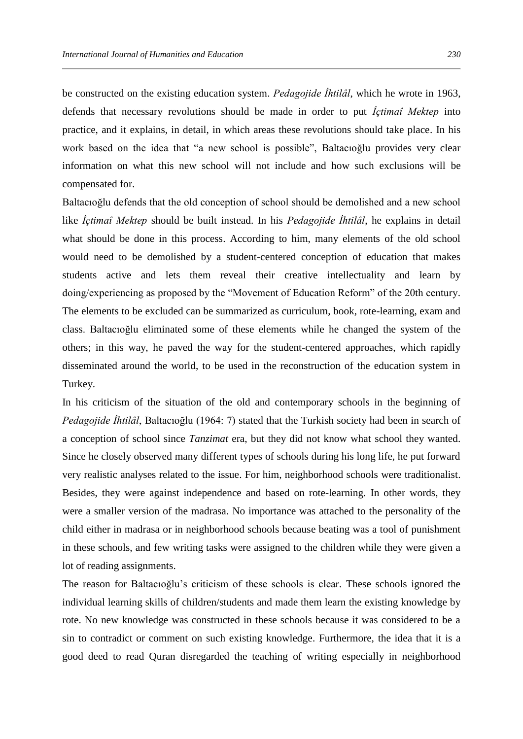be constructed on the existing education system. *Pedagojide İhtilâl*, which he wrote in 1963, defends that necessary revolutions should be made in order to put *İçtimaî Mektep* into practice, and it explains, in detail, in which areas these revolutions should take place. In his work based on the idea that "a new school is possible", Baltacıoğlu provides very clear information on what this new school will not include and how such exclusions will be compensated for.

Baltacıoğlu defends that the old conception of school should be demolished and a new school like *İçtimaî Mektep* should be built instead. In his *Pedagojide İhtilâl*, he explains in detail what should be done in this process. According to him, many elements of the old school would need to be demolished by a student-centered conception of education that makes students active and lets them reveal their creative intellectuality and learn by doing/experiencing as proposed by the "Movement of Education Reform" of the 20th century. The elements to be excluded can be summarized as curriculum, book, rote-learning, exam and class. Baltacıoğlu eliminated some of these elements while he changed the system of the others; in this way, he paved the way for the student-centered approaches, which rapidly disseminated around the world, to be used in the reconstruction of the education system in Turkey.

In his criticism of the situation of the old and contemporary schools in the beginning of *Pedagojide İhtilâl*, Baltacıoğlu (1964: 7) stated that the Turkish society had been in search of a conception of school since *Tanzimat* era, but they did not know what school they wanted. Since he closely observed many different types of schools during his long life, he put forward very realistic analyses related to the issue. For him, neighborhood schools were traditionalist. Besides, they were against independence and based on rote-learning. In other words, they were a smaller version of the madrasa. No importance was attached to the personality of the child either in madrasa or in neighborhood schools because beating was a tool of punishment in these schools, and few writing tasks were assigned to the children while they were given a lot of reading assignments.

The reason for Baltacıoğlu's criticism of these schools is clear. These schools ignored the individual learning skills of children/students and made them learn the existing knowledge by rote. No new knowledge was constructed in these schools because it was considered to be a sin to contradict or comment on such existing knowledge. Furthermore, the idea that it is a good deed to read Quran disregarded the teaching of writing especially in neighborhood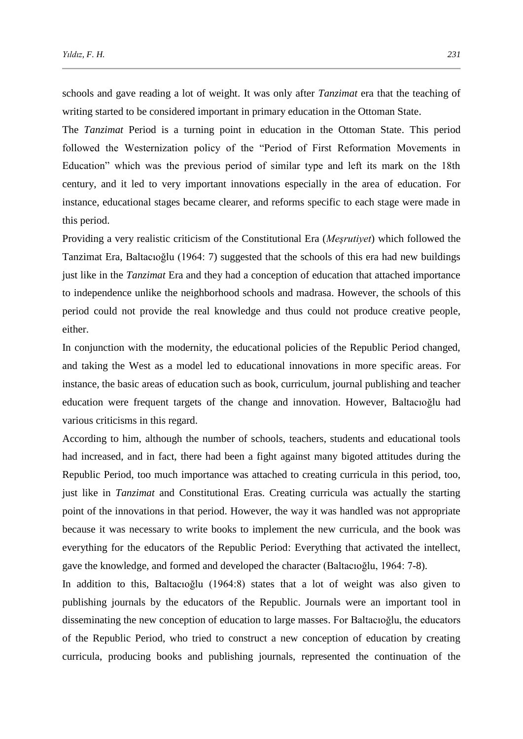schools and gave reading a lot of weight. It was only after *Tanzimat* era that the teaching of writing started to be considered important in primary education in the Ottoman State.

The *Tanzimat* Period is a turning point in education in the Ottoman State. This period followed the Westernization policy of the "Period of First Reformation Movements in Education" which was the previous period of similar type and left its mark on the 18th century, and it led to very important innovations especially in the area of education. For instance, educational stages became clearer, and reforms specific to each stage were made in this period.

Providing a very realistic criticism of the Constitutional Era (*Meşrutiyet*) which followed the Tanzimat Era, Baltacıoğlu (1964: 7) suggested that the schools of this era had new buildings just like in the *Tanzimat* Era and they had a conception of education that attached importance to independence unlike the neighborhood schools and madrasa. However, the schools of this period could not provide the real knowledge and thus could not produce creative people, either.

In conjunction with the modernity, the educational policies of the Republic Period changed, and taking the West as a model led to educational innovations in more specific areas. For instance, the basic areas of education such as book, curriculum, journal publishing and teacher education were frequent targets of the change and innovation. However, Baltacıoğlu had various criticisms in this regard.

According to him, although the number of schools, teachers, students and educational tools had increased, and in fact, there had been a fight against many bigoted attitudes during the Republic Period, too much importance was attached to creating curricula in this period, too, just like in *Tanzimat* and Constitutional Eras. Creating curricula was actually the starting point of the innovations in that period. However, the way it was handled was not appropriate because it was necessary to write books to implement the new curricula, and the book was everything for the educators of the Republic Period: Everything that activated the intellect, gave the knowledge, and formed and developed the character (Baltacıoğlu, 1964: 7-8).

In addition to this, Baltacıoğlu (1964:8) states that a lot of weight was also given to publishing journals by the educators of the Republic. Journals were an important tool in disseminating the new conception of education to large masses. For Baltacıoğlu, the educators of the Republic Period, who tried to construct a new conception of education by creating curricula, producing books and publishing journals, represented the continuation of the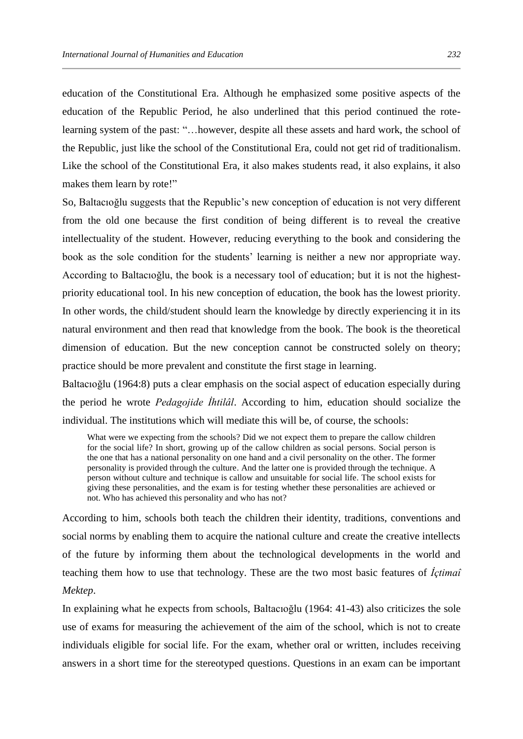education of the Constitutional Era. Although he emphasized some positive aspects of the education of the Republic Period, he also underlined that this period continued the rotelearning system of the past: "…however, despite all these assets and hard work, the school of the Republic, just like the school of the Constitutional Era, could not get rid of traditionalism. Like the school of the Constitutional Era, it also makes students read, it also explains, it also makes them learn by rote!"

So, Baltacıoğlu suggests that the Republic's new conception of education is not very different from the old one because the first condition of being different is to reveal the creative intellectuality of the student. However, reducing everything to the book and considering the book as the sole condition for the students' learning is neither a new nor appropriate way. According to Baltacıoğlu, the book is a necessary tool of education; but it is not the highestpriority educational tool. In his new conception of education, the book has the lowest priority. In other words, the child/student should learn the knowledge by directly experiencing it in its natural environment and then read that knowledge from the book. The book is the theoretical dimension of education. But the new conception cannot be constructed solely on theory; practice should be more prevalent and constitute the first stage in learning.

Baltacıoğlu (1964:8) puts a clear emphasis on the social aspect of education especially during the period he wrote *Pedagojide İhtilâl*. According to him, education should socialize the individual. The institutions which will mediate this will be, of course, the schools:

What were we expecting from the schools? Did we not expect them to prepare the callow children for the social life? In short, growing up of the callow children as social persons. Social person is the one that has a national personality on one hand and a civil personality on the other. The former personality is provided through the culture. And the latter one is provided through the technique. A person without culture and technique is callow and unsuitable for social life. The school exists for giving these personalities, and the exam is for testing whether these personalities are achieved or not. Who has achieved this personality and who has not?

According to him, schools both teach the children their identity, traditions, conventions and social norms by enabling them to acquire the national culture and create the creative intellects of the future by informing them about the technological developments in the world and teaching them how to use that technology. These are the two most basic features of *İçtimaî Mektep*.

In explaining what he expects from schools, Baltacıoğlu (1964: 41-43) also criticizes the sole use of exams for measuring the achievement of the aim of the school, which is not to create individuals eligible for social life. For the exam, whether oral or written, includes receiving answers in a short time for the stereotyped questions. Questions in an exam can be important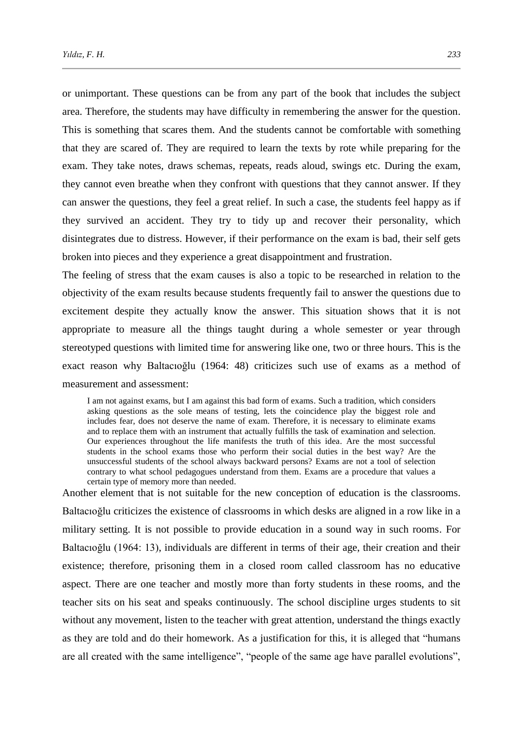or unimportant. These questions can be from any part of the book that includes the subject area. Therefore, the students may have difficulty in remembering the answer for the question. This is something that scares them. And the students cannot be comfortable with something that they are scared of. They are required to learn the texts by rote while preparing for the exam. They take notes, draws schemas, repeats, reads aloud, swings etc. During the exam, they cannot even breathe when they confront with questions that they cannot answer. If they can answer the questions, they feel a great relief. In such a case, the students feel happy as if they survived an accident. They try to tidy up and recover their personality, which disintegrates due to distress. However, if their performance on the exam is bad, their self gets broken into pieces and they experience a great disappointment and frustration.

The feeling of stress that the exam causes is also a topic to be researched in relation to the objectivity of the exam results because students frequently fail to answer the questions due to excitement despite they actually know the answer. This situation shows that it is not appropriate to measure all the things taught during a whole semester or year through stereotyped questions with limited time for answering like one, two or three hours. This is the exact reason why Baltacıoğlu (1964: 48) criticizes such use of exams as a method of measurement and assessment:

I am not against exams, but I am against this bad form of exams. Such a tradition, which considers asking questions as the sole means of testing, lets the coincidence play the biggest role and includes fear, does not deserve the name of exam. Therefore, it is necessary to eliminate exams and to replace them with an instrument that actually fulfills the task of examination and selection. Our experiences throughout the life manifests the truth of this idea. Are the most successful students in the school exams those who perform their social duties in the best way? Are the unsuccessful students of the school always backward persons? Exams are not a tool of selection contrary to what school pedagogues understand from them. Exams are a procedure that values a certain type of memory more than needed.

Another element that is not suitable for the new conception of education is the classrooms. Baltacıoğlu criticizes the existence of classrooms in which desks are aligned in a row like in a military setting. It is not possible to provide education in a sound way in such rooms. For Baltacıoğlu (1964: 13), individuals are different in terms of their age, their creation and their existence; therefore, prisoning them in a closed room called classroom has no educative aspect. There are one teacher and mostly more than forty students in these rooms, and the teacher sits on his seat and speaks continuously. The school discipline urges students to sit without any movement, listen to the teacher with great attention, understand the things exactly as they are told and do their homework. As a justification for this, it is alleged that "humans are all created with the same intelligence", "people of the same age have parallel evolutions",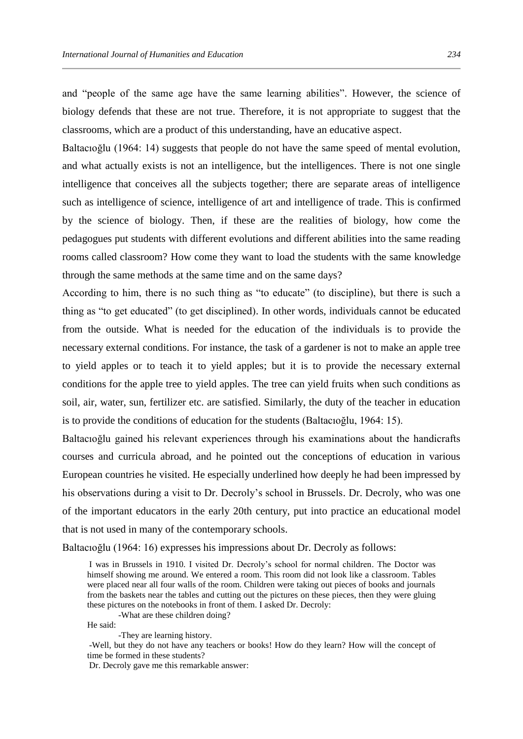and "people of the same age have the same learning abilities". However, the science of biology defends that these are not true. Therefore, it is not appropriate to suggest that the classrooms, which are a product of this understanding, have an educative aspect.

Baltacıoğlu (1964: 14) suggests that people do not have the same speed of mental evolution, and what actually exists is not an intelligence, but the intelligences. There is not one single intelligence that conceives all the subjects together; there are separate areas of intelligence such as intelligence of science, intelligence of art and intelligence of trade. This is confirmed by the science of biology. Then, if these are the realities of biology, how come the pedagogues put students with different evolutions and different abilities into the same reading rooms called classroom? How come they want to load the students with the same knowledge through the same methods at the same time and on the same days?

According to him, there is no such thing as "to educate" (to discipline), but there is such a thing as "to get educated" (to get disciplined). In other words, individuals cannot be educated from the outside. What is needed for the education of the individuals is to provide the necessary external conditions. For instance, the task of a gardener is not to make an apple tree to yield apples or to teach it to yield apples; but it is to provide the necessary external conditions for the apple tree to yield apples. The tree can yield fruits when such conditions as soil, air, water, sun, fertilizer etc. are satisfied. Similarly, the duty of the teacher in education is to provide the conditions of education for the students (Baltacıoğlu, 1964: 15).

Baltacıoğlu gained his relevant experiences through his examinations about the handicrafts courses and curricula abroad, and he pointed out the conceptions of education in various European countries he visited. He especially underlined how deeply he had been impressed by his observations during a visit to Dr. Decroly's school in Brussels. Dr. Decroly, who was one of the important educators in the early 20th century, put into practice an educational model that is not used in many of the contemporary schools.

Baltacıoğlu (1964: 16) expresses his impressions about Dr. Decroly as follows:

I was in Brussels in 1910. I visited Dr. Decroly's school for normal children. The Doctor was himself showing me around. We entered a room. This room did not look like a classroom. Tables were placed near all four walls of the room. Children were taking out pieces of books and journals from the baskets near the tables and cutting out the pictures on these pieces, then they were gluing these pictures on the notebooks in front of them. I asked Dr. Decroly:

-What are these children doing?

He said:

-They are learning history.

-Well, but they do not have any teachers or books! How do they learn? How will the concept of time be formed in these students?

Dr. Decroly gave me this remarkable answer: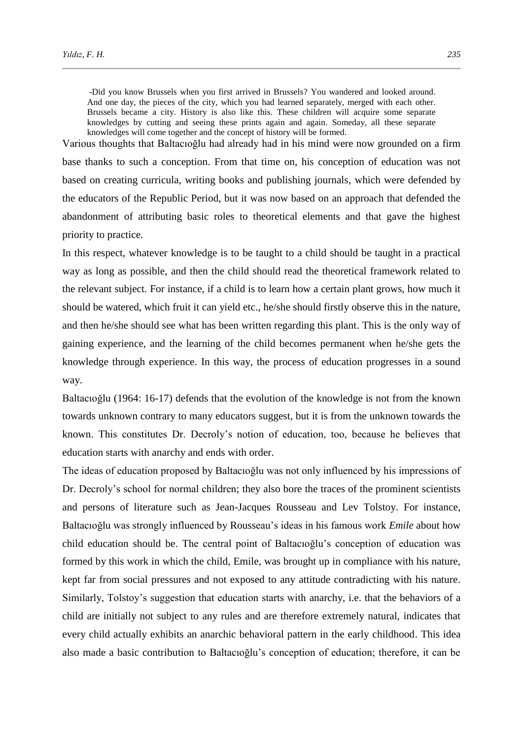-Did you know Brussels when you first arrived in Brussels? You wandered and looked around. And one day, the pieces of the city, which you had learned separately, merged with each other. Brussels became a city. History is also like this. These children will acquire some separate knowledges by cutting and seeing these prints again and again. Someday, all these separate knowledges will come together and the concept of history will be formed.

Various thoughts that Baltacıoğlu had already had in his mind were now grounded on a firm base thanks to such a conception. From that time on, his conception of education was not based on creating curricula, writing books and publishing journals, which were defended by the educators of the Republic Period, but it was now based on an approach that defended the abandonment of attributing basic roles to theoretical elements and that gave the highest priority to practice.

In this respect, whatever knowledge is to be taught to a child should be taught in a practical way as long as possible, and then the child should read the theoretical framework related to the relevant subject. For instance, if a child is to learn how a certain plant grows, how much it should be watered, which fruit it can yield etc., he/she should firstly observe this in the nature, and then he/she should see what has been written regarding this plant. This is the only way of gaining experience, and the learning of the child becomes permanent when he/she gets the knowledge through experience. In this way, the process of education progresses in a sound way.

Baltacıoğlu (1964: 16-17) defends that the evolution of the knowledge is not from the known towards unknown contrary to many educators suggest, but it is from the unknown towards the known. This constitutes Dr. Decroly's notion of education, too, because he believes that education starts with anarchy and ends with order.

The ideas of education proposed by Baltacıoğlu was not only influenced by his impressions of Dr. Decroly's school for normal children; they also bore the traces of the prominent scientists and persons of literature such as Jean-Jacques Rousseau and Lev Tolstoy. For instance, Baltacıoğlu was strongly influenced by Rousseau's ideas in his famous work *Emile* about how child education should be. The central point of Baltacıoğlu's conception of education was formed by this work in which the child, Emile, was brought up in compliance with his nature, kept far from social pressures and not exposed to any attitude contradicting with his nature. Similarly, Tolstoy's suggestion that education starts with anarchy, i.e. that the behaviors of a child are initially not subject to any rules and are therefore extremely natural, indicates that every child actually exhibits an anarchic behavioral pattern in the early childhood. This idea also made a basic contribution to Baltacıoğlu's conception of education; therefore, it can be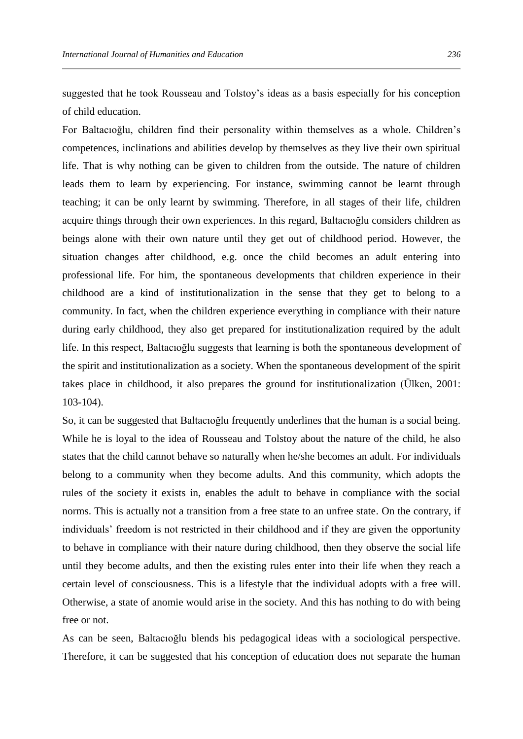suggested that he took Rousseau and Tolstoy's ideas as a basis especially for his conception of child education.

For Baltacıoğlu, children find their personality within themselves as a whole. Children's competences, inclinations and abilities develop by themselves as they live their own spiritual life. That is why nothing can be given to children from the outside. The nature of children leads them to learn by experiencing. For instance, swimming cannot be learnt through teaching; it can be only learnt by swimming. Therefore, in all stages of their life, children acquire things through their own experiences. In this regard, Baltacıoğlu considers children as beings alone with their own nature until they get out of childhood period. However, the situation changes after childhood, e.g. once the child becomes an adult entering into professional life. For him, the spontaneous developments that children experience in their childhood are a kind of institutionalization in the sense that they get to belong to a community. In fact, when the children experience everything in compliance with their nature during early childhood, they also get prepared for institutionalization required by the adult life. In this respect, Baltacıoğlu suggests that learning is both the spontaneous development of the spirit and institutionalization as a society. When the spontaneous development of the spirit takes place in childhood, it also prepares the ground for institutionalization (Ülken, 2001: 103-104).

So, it can be suggested that Baltacıoğlu frequently underlines that the human is a social being. While he is loyal to the idea of Rousseau and Tolstoy about the nature of the child, he also states that the child cannot behave so naturally when he/she becomes an adult. For individuals belong to a community when they become adults. And this community, which adopts the rules of the society it exists in, enables the adult to behave in compliance with the social norms. This is actually not a transition from a free state to an unfree state. On the contrary, if individuals' freedom is not restricted in their childhood and if they are given the opportunity to behave in compliance with their nature during childhood, then they observe the social life until they become adults, and then the existing rules enter into their life when they reach a certain level of consciousness. This is a lifestyle that the individual adopts with a free will. Otherwise, a state of anomie would arise in the society. And this has nothing to do with being free or not.

As can be seen, Baltacıoğlu blends his pedagogical ideas with a sociological perspective. Therefore, it can be suggested that his conception of education does not separate the human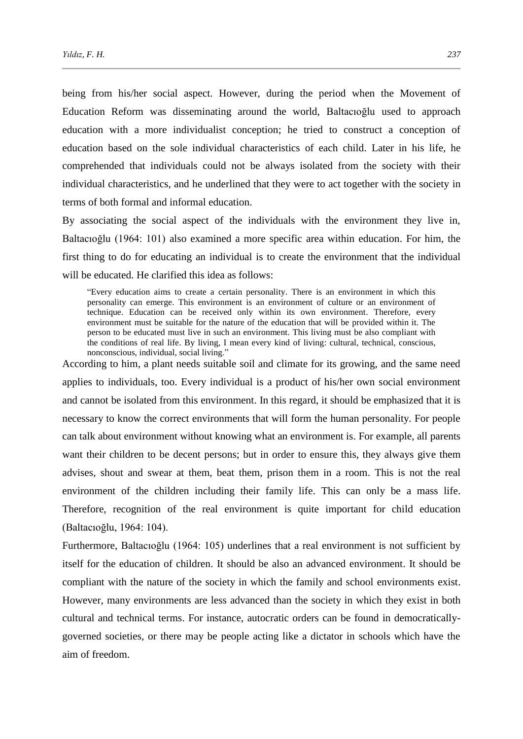being from his/her social aspect. However, during the period when the Movement of Education Reform was disseminating around the world, Baltacıoğlu used to approach education with a more individualist conception; he tried to construct a conception of education based on the sole individual characteristics of each child. Later in his life, he comprehended that individuals could not be always isolated from the society with their individual characteristics, and he underlined that they were to act together with the society in terms of both formal and informal education.

By associating the social aspect of the individuals with the environment they live in, Baltacıoğlu (1964: 101) also examined a more specific area within education. For him, the first thing to do for educating an individual is to create the environment that the individual will be educated. He clarified this idea as follows:

"Every education aims to create a certain personality. There is an environment in which this personality can emerge. This environment is an environment of culture or an environment of technique. Education can be received only within its own environment. Therefore, every environment must be suitable for the nature of the education that will be provided within it. The person to be educated must live in such an environment. This living must be also compliant with the conditions of real life. By living, I mean every kind of living: cultural, technical, conscious, nonconscious, individual, social living."

According to him, a plant needs suitable soil and climate for its growing, and the same need applies to individuals, too. Every individual is a product of his/her own social environment and cannot be isolated from this environment. In this regard, it should be emphasized that it is necessary to know the correct environments that will form the human personality. For people can talk about environment without knowing what an environment is. For example, all parents want their children to be decent persons; but in order to ensure this, they always give them advises, shout and swear at them, beat them, prison them in a room. This is not the real environment of the children including their family life. This can only be a mass life. Therefore, recognition of the real environment is quite important for child education (Baltacıoğlu, 1964: 104).

Furthermore, Baltacıoğlu (1964: 105) underlines that a real environment is not sufficient by itself for the education of children. It should be also an advanced environment. It should be compliant with the nature of the society in which the family and school environments exist. However, many environments are less advanced than the society in which they exist in both cultural and technical terms. For instance, autocratic orders can be found in democraticallygoverned societies, or there may be people acting like a dictator in schools which have the aim of freedom.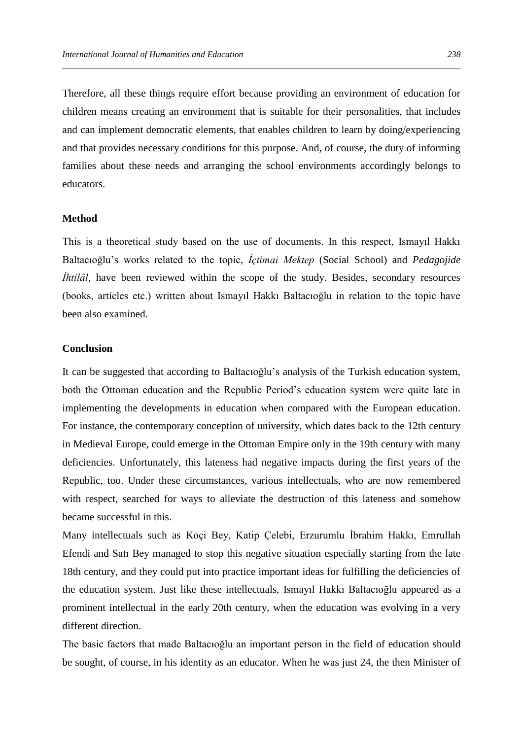Therefore, all these things require effort because providing an environment of education for children means creating an environment that is suitable for their personalities, that includes and can implement democratic elements, that enables children to learn by doing/experiencing and that provides necessary conditions for this purpose. And, of course, the duty of informing families about these needs and arranging the school environments accordingly belongs to educators.

## **Method**

This is a theoretical study based on the use of documents. In this respect, Ismayıl Hakkı Baltacıoğlu's works related to the topic, *İçtimai Mektep* (Social School) and *Pedagojide Ihtilâl*, have been reviewed within the scope of the study. Besides, secondary resources (books, articles etc.) written about Ismayıl Hakkı Baltacıoğlu in relation to the topic have been also examined.

## **Conclusion**

It can be suggested that according to Baltacıoğlu's analysis of the Turkish education system, both the Ottoman education and the Republic Period's education system were quite late in implementing the developments in education when compared with the European education. For instance, the contemporary conception of university, which dates back to the 12th century in Medieval Europe, could emerge in the Ottoman Empire only in the 19th century with many deficiencies. Unfortunately, this lateness had negative impacts during the first years of the Republic, too. Under these circumstances, various intellectuals, who are now remembered with respect, searched for ways to alleviate the destruction of this lateness and somehow became successful in this.

Many intellectuals such as Koçi Bey, Katip Çelebi, Erzurumlu İbrahim Hakkı, Emrullah Efendi and Satı Bey managed to stop this negative situation especially starting from the late 18th century, and they could put into practice important ideas for fulfilling the deficiencies of the education system. Just like these intellectuals, Ismayıl Hakkı Baltacıoğlu appeared as a prominent intellectual in the early 20th century, when the education was evolving in a very different direction.

The basic factors that made Baltacıoğlu an important person in the field of education should be sought, of course, in his identity as an educator. When he was just 24, the then Minister of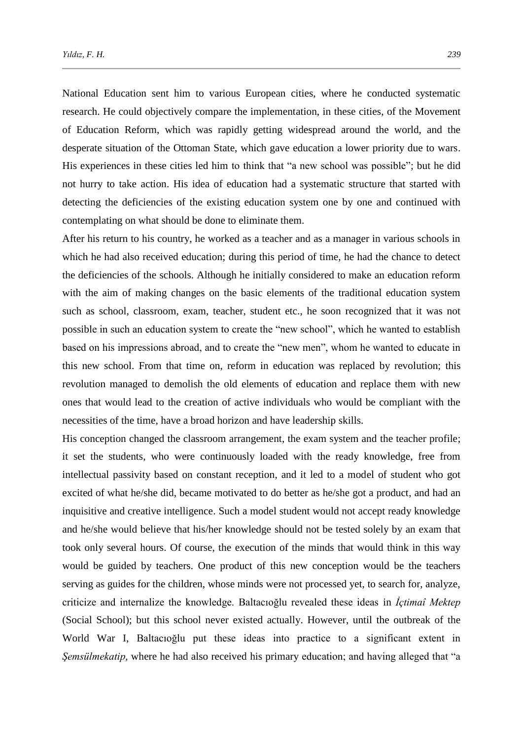National Education sent him to various European cities, where he conducted systematic research. He could objectively compare the implementation, in these cities, of the Movement of Education Reform, which was rapidly getting widespread around the world, and the desperate situation of the Ottoman State, which gave education a lower priority due to wars. His experiences in these cities led him to think that "a new school was possible"; but he did not hurry to take action. His idea of education had a systematic structure that started with detecting the deficiencies of the existing education system one by one and continued with contemplating on what should be done to eliminate them.

After his return to his country, he worked as a teacher and as a manager in various schools in which he had also received education; during this period of time, he had the chance to detect the deficiencies of the schools. Although he initially considered to make an education reform with the aim of making changes on the basic elements of the traditional education system such as school, classroom, exam, teacher, student etc., he soon recognized that it was not possible in such an education system to create the "new school", which he wanted to establish based on his impressions abroad, and to create the "new men", whom he wanted to educate in this new school. From that time on, reform in education was replaced by revolution; this revolution managed to demolish the old elements of education and replace them with new ones that would lead to the creation of active individuals who would be compliant with the necessities of the time, have a broad horizon and have leadership skills.

His conception changed the classroom arrangement, the exam system and the teacher profile; it set the students, who were continuously loaded with the ready knowledge, free from intellectual passivity based on constant reception, and it led to a model of student who got excited of what he/she did, became motivated to do better as he/she got a product, and had an inquisitive and creative intelligence. Such a model student would not accept ready knowledge and he/she would believe that his/her knowledge should not be tested solely by an exam that took only several hours. Of course, the execution of the minds that would think in this way would be guided by teachers. One product of this new conception would be the teachers serving as guides for the children, whose minds were not processed yet, to search for, analyze, criticize and internalize the knowledge. Baltacıoğlu revealed these ideas in *İçtimaî Mektep* (Social School); but this school never existed actually. However, until the outbreak of the World War I, Baltacıoğlu put these ideas into practice to a significant extent in *Şemsülmekatip*, where he had also received his primary education; and having alleged that "a